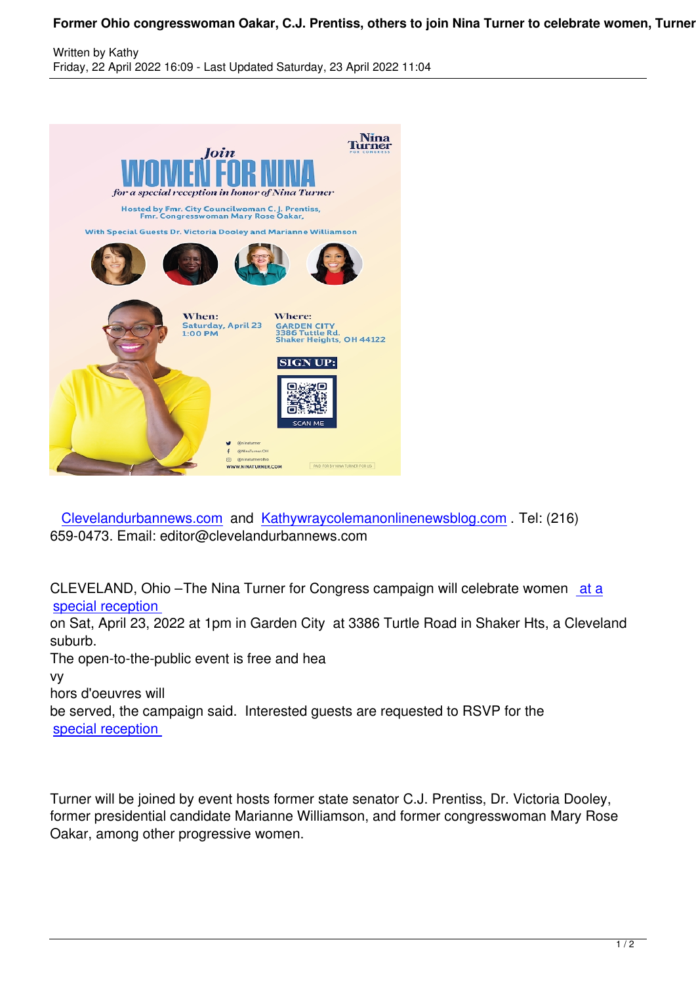

 Clevelandurbannews.com and Kathywraycolemanonlinenewsblog.com . Tel: (216) 659-0473. Email: editor@clevelandurbannews.com

C[LEVELAND, Ohio –The Ni](https://www.blogger.com/blog/post/edit/419689552238555726/5755650590712772779)na Tu[rner for Congress campaign will celebra](https://www.blogger.com/blog/post/edit/419689552238555726/5755650590712772779)te women at a special reception

on Sat, April 23, 2022 at 1pm in Garden City at 3386 Turtle Road in Shaker Hts, a Cleveland suburb.

[The open-to-the-pu](https://click.ngpvan.com/k/44315592/341068403/-2134114355?refcode2=f7056c86-36c0-ec11-997e-281878b83d8a&utm_source=em220419&nvep=ew0KICAiVGVuYW50VXJpIjogIm5ncHZhbjovL3Zhbi9OR1AvTkdQMTMvMS84NzU5NiIsDQogICJEaXN0cmlidXRpb25VbmlxdWVJZCI6ICJmNzA1NmM4Ni0zNmMwLWVjMTEtOTk3ZS0yODE4NzhiODNkOGEiLA0KICAiRW1haWxBZGRyZXNzIjogImVkaXRvckBjbGV2ZWxhbmR1cmJhbm5ld3MuY29tIg0KfQ%3D%3D&hmac=SXnf7LsQAPeIxTmCUGqhXEa9EDqDt3dxAk6JxMRtiYs=&emci=f3bc20d8-f9bf-ec11-997e-281878b83d8a&emdi=f7056c86-36c0-ec11-997e-281878b83d8a&ceid=16575690)blic event is free and hea

vy

hors d'oeuvres will

be served, the campaign said. Interested guests are requested to RSVP for the special reception

[Turner will be joine](https://click.ngpvan.com/k/44315592/341068403/-2134114355?refcode2=f7056c86-36c0-ec11-997e-281878b83d8a&utm_source=em220419&nvep=ew0KICAiVGVuYW50VXJpIjogIm5ncHZhbjovL3Zhbi9OR1AvTkdQMTMvMS84NzU5NiIsDQogICJEaXN0cmlidXRpb25VbmlxdWVJZCI6ICJmNzA1NmM4Ni0zNmMwLWVjMTEtOTk3ZS0yODE4NzhiODNkOGEiLA0KICAiRW1haWxBZGRyZXNzIjogImVkaXRvckBjbGV2ZWxhbmR1cmJhbm5ld3MuY29tIg0KfQ%3D%3D&hmac=SXnf7LsQAPeIxTmCUGqhXEa9EDqDt3dxAk6JxMRtiYs=&emci=f3bc20d8-f9bf-ec11-997e-281878b83d8a&emdi=f7056c86-36c0-ec11-997e-281878b83d8a&ceid=16575690)d by event hosts former state senator C.J. Prentiss, Dr. Victoria Dooley, former presidential candidate Marianne Williamson, and former congresswoman Mary Rose Oakar, among other progressive women.